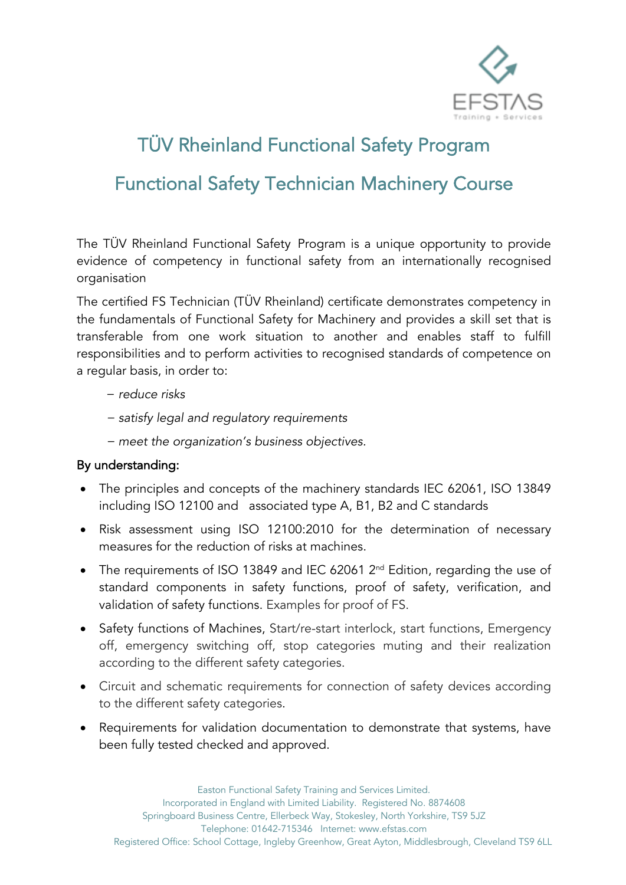

# TÜV Rheinland Functional Safety Program Functional Safety Technician Machinery Course

The TÜV Rheinland Functional Safety Program is a unique opportunity to provide evidence of competency in functional safety from an internationally recognised organisation

The certified FS Technician (TÜV Rheinland) certificate demonstrates competency in the fundamentals of Functional Safety for Machinery and provides a skill set that is transferable from one work situation to another and enables staff to fulfill responsibilities and to perform activities to recognised standards of competence on a regular basis, in order to:

- − *reduce risks*
- − *satisfy legal and regulatory requirements*
- − *meet the organization's business objectives.*

## By understanding:

- The principles and concepts of the machinery standards IEC 62061, ISO 13849 including ISO 12100 and associated type A, B1, B2 and C standards
- Risk assessment using ISO 12100:2010 for the determination of necessary measures for the reduction of risks at machines.
- The requirements of ISO 13849 and IEC 62061 2<sup>nd</sup> Edition, regarding the use of standard components in safety functions, proof of safety, verification, and validation of safety functions. Examples for proof of FS.
- Safety functions of Machines, Start/re-start interlock, start functions, Emergency off, emergency switching off, stop categories muting and their realization according to the different safety categories.
- Circuit and schematic requirements for connection of safety devices according to the different safety categories.
- Requirements for validation documentation to demonstrate that systems, have been fully tested checked and approved.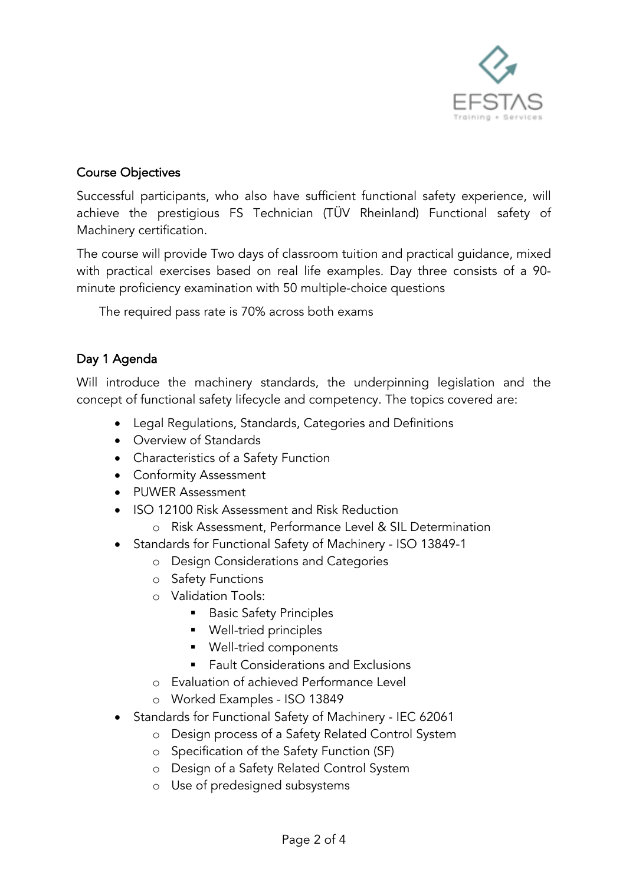

#### Course Objectives

Successful participants, who also have sufficient functional safety experience, will achieve the prestigious FS Technician (TÜV Rheinland) Functional safety of Machinery certification.

The course will provide Two days of classroom tuition and practical guidance, mixed with practical exercises based on real life examples. Day three consists of a 90 minute proficiency examination with 50 multiple-choice questions

The required pass rate is 70% across both exams

## Day 1 Agenda

Will introduce the machinery standards, the underpinning legislation and the concept of functional safety lifecycle and competency. The topics covered are:

- Legal Regulations, Standards, Categories and Definitions
- Overview of Standards
- Characteristics of a Safety Function
- Conformity Assessment
- PUWER Assessment
- ISO 12100 Risk Assessment and Risk Reduction
	- o Risk Assessment, Performance Level & SIL Determination
- Standards for Functional Safety of Machinery ISO 13849-1
	- o Design Considerations and Categories
	- o Safety Functions
	- o Validation Tools:
		- Basic Safety Principles
		- Well-tried principles
		- Well-tried components
		- § Fault Considerations and Exclusions
	- o Evaluation of achieved Performance Level
	- o Worked Examples ISO 13849
- Standards for Functional Safety of Machinery IEC 62061
	- o Design process of a Safety Related Control System
	- o Specification of the Safety Function (SF)
	- o Design of a Safety Related Control System
	- o Use of predesigned subsystems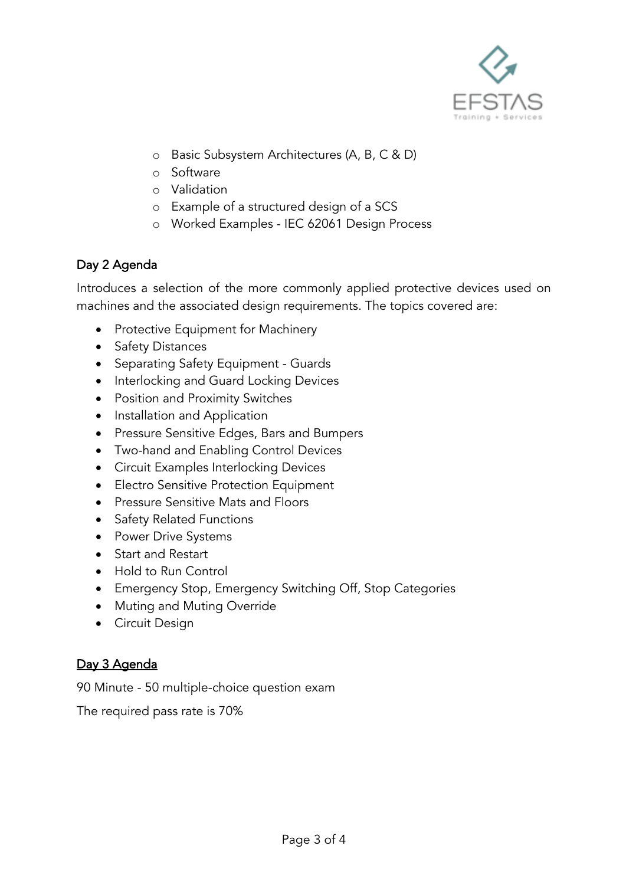

- o Basic Subsystem Architectures (A, B, C & D)
- o Software
- o Validation
- o Example of a structured design of a SCS
- o Worked Examples IEC 62061 Design Process

## Day 2 Agenda

Introduces a selection of the more commonly applied protective devices used on machines and the associated design requirements. The topics covered are:

- Protective Equipment for Machinery
- Safety Distances
- Separating Safety Equipment Guards
- Interlocking and Guard Locking Devices
- Position and Proximity Switches
- Installation and Application
- Pressure Sensitive Edges, Bars and Bumpers
- Two-hand and Enabling Control Devices
- Circuit Examples Interlocking Devices
- Electro Sensitive Protection Equipment
- Pressure Sensitive Mats and Floors
- Safety Related Functions
- Power Drive Systems
- Start and Restart
- Hold to Run Control
- Emergency Stop, Emergency Switching Off, Stop Categories
- Muting and Muting Override
- Circuit Design

## Day 3 Agenda

90 Minute - 50 multiple-choice question exam

The required pass rate is 70%